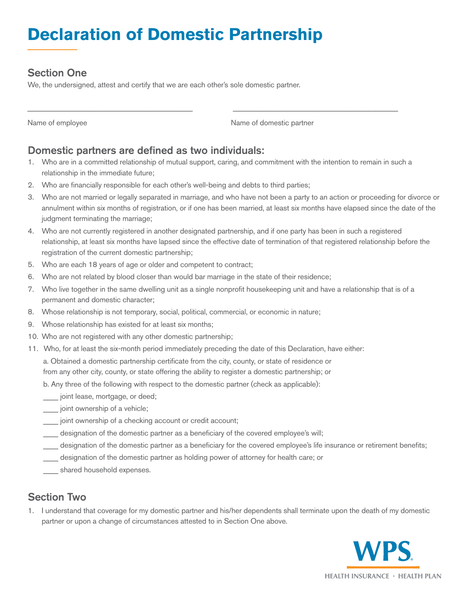# **Declaration of Domestic Partnership**

### Section One

We, the undersigned, attest and certify that we are each other's sole domestic partner.

Name of employee

Name of domestic partner

#### Domestic partners are defined as two individuals:

- 1. Who are in a committed relationship of mutual support, caring, and commitment with the intention to remain in such a relationship in the immediate future;
- 2. Who are financially responsible for each other's well-being and debts to third parties;
- 3. Who are not married or legally separated in marriage, and who have not been a party to an action or proceeding for divorce or annulment within six months of registration, or if one has been married, at least six months have elapsed since the date of the judgment terminating the marriage;
- 4. Who are not currently registered in another designated partnership, and if one party has been in such a registered relationship, at least six months have lapsed since the effective date of termination of that registered relationship before the registration of the current domestic partnership;
- 5. Who are each 18 years of age or older and competent to contract;
- 6. Who are not related by blood closer than would bar marriage in the state of their residence;
- 7. Who live together in the same dwelling unit as a single nonprofit housekeeping unit and have a relationship that is of a permanent and domestic character;
- 8. Whose relationship is not temporary, social, political, commercial, or economic in nature;
- 9. Whose relationship has existed for at least six months;
- 10. Who are not registered with any other domestic partnership;
- 11. Who, for at least the six-month period immediately preceding the date of this Declaration, have either:

a. Obtained a domestic partnership certificate from the city, county, or state of residence or from any other city, county, or state offering the ability to register a domestic partnership; or

- b. Any three of the following with respect to the domestic partner (check as applicable):
- \_\_\_\_ joint lease, mortgage, or deed;
- joint ownership of a vehicle;
- \_\_\_\_ joint ownership of a checking account or credit account;
- designation of the domestic partner as a beneficiary of the covered employee's will;
- designation of the domestic partner as a beneficiary for the covered employee's life insurance or retirement benefits;
- designation of the domestic partner as holding power of attorney for health care; or
- shared household expenses.

## Section Two

1. I understand that coverage for my domestic partner and his/her dependents shall terminate upon the death of my domestic partner or upon a change of circumstances attested to in Section One above.